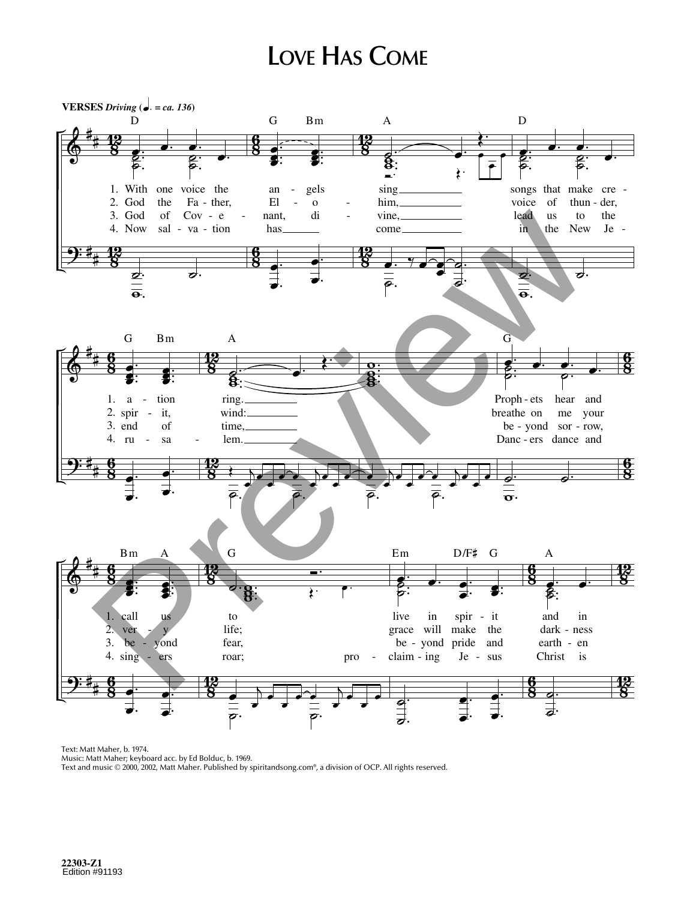## LOVE HAS COME



Text: Matt Maher, b. 1974.

Music: Matt Maher; keyboard acc. by Ed Bolduc, b. 1969.

Text and music © 2000, 2002, Matt Maher. Published by spiritandsong.com®, a division of OCP. All rights reserved.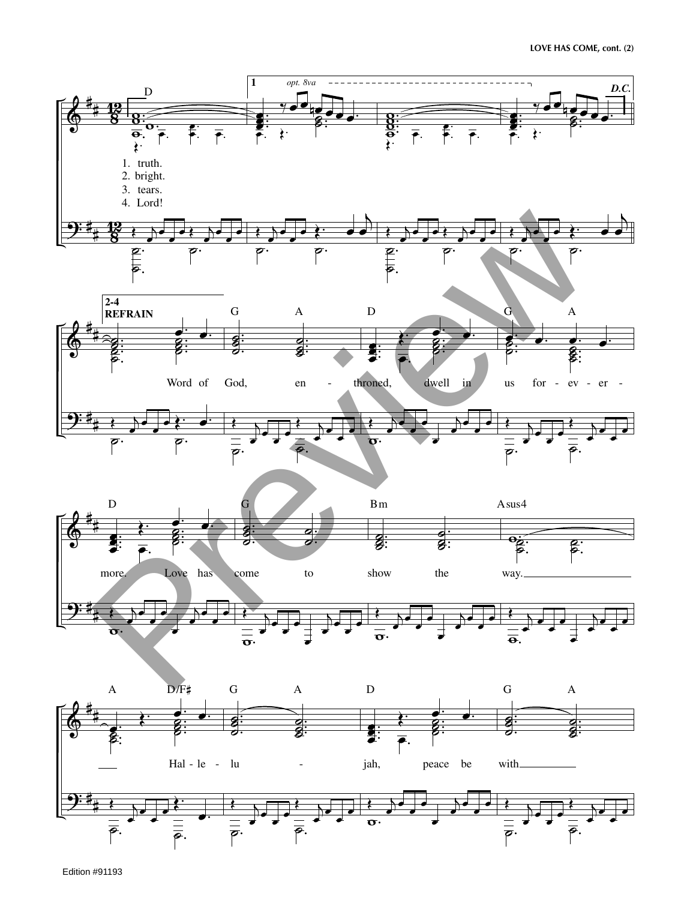